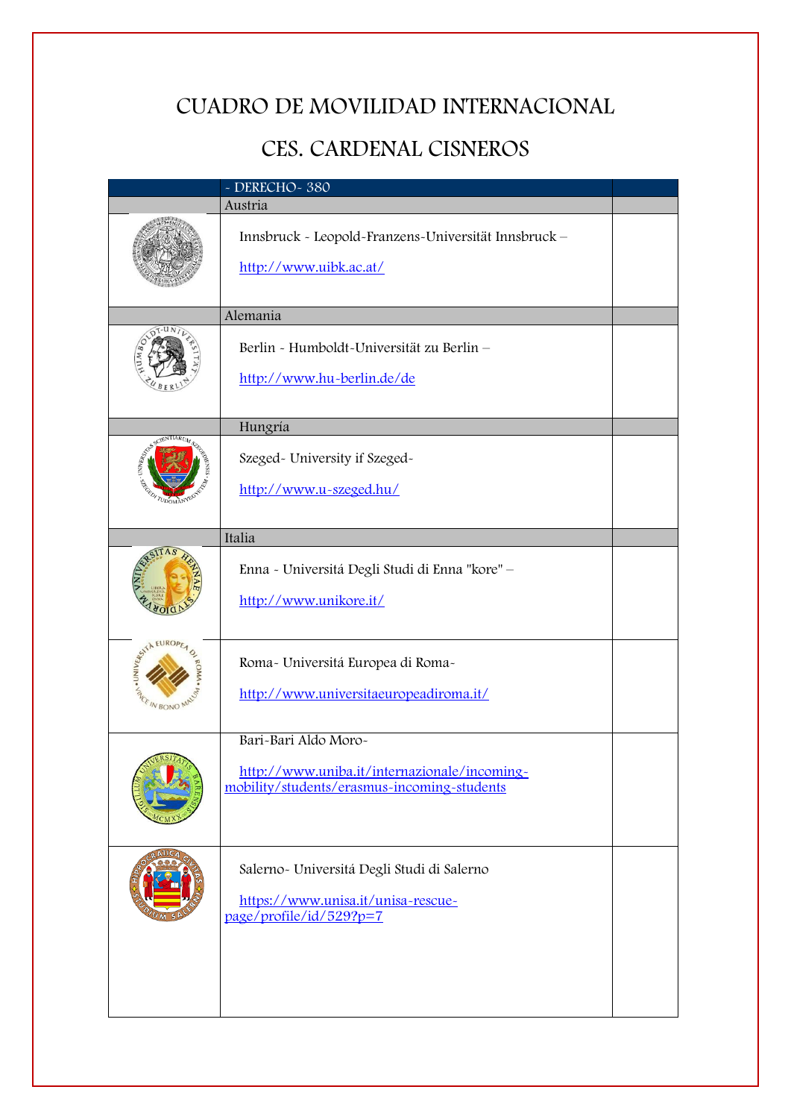# CUADRO DE MOVILIDAD INTERNACIONAL

# CES. CARDENAL CISNEROS

| $\sim$ DERECHO $\sim$ 380 |                                                                                                                     |  |
|---------------------------|---------------------------------------------------------------------------------------------------------------------|--|
|                           | Austria                                                                                                             |  |
|                           | Innsbruck - Leopold-Franzens-Universität Innsbruck -<br>http://www.uibk.ac.at/                                      |  |
|                           | Alemania                                                                                                            |  |
|                           | Berlin - Humboldt-Universität zu Berlin -<br>http://www.hu-berlin.de/de                                             |  |
|                           | Hungría                                                                                                             |  |
| - UNIVERSITY              | Szeged- University if Szeged-<br>http://www.u-szeged.hu/                                                            |  |
|                           | Italia                                                                                                              |  |
|                           | Enna - Universitá Degli Studi di Enna "kore" -<br>http://www.unikore.it/                                            |  |
| <b>SALE IN BONO</b>       | Roma- Universitá Europea di Roma-<br>http://www.universitaeuropeadiroma.it/                                         |  |
|                           | Bari-Bari Aldo Moro-<br>http://www.uniba.it/internazionale/incoming-<br>mobility/students/erasmus-incoming-students |  |
|                           | Salerno- Universitá Degli Studi di Salerno<br>https://www.unisa.it/unisa-rescue-<br>page/profile/id/529?p=7         |  |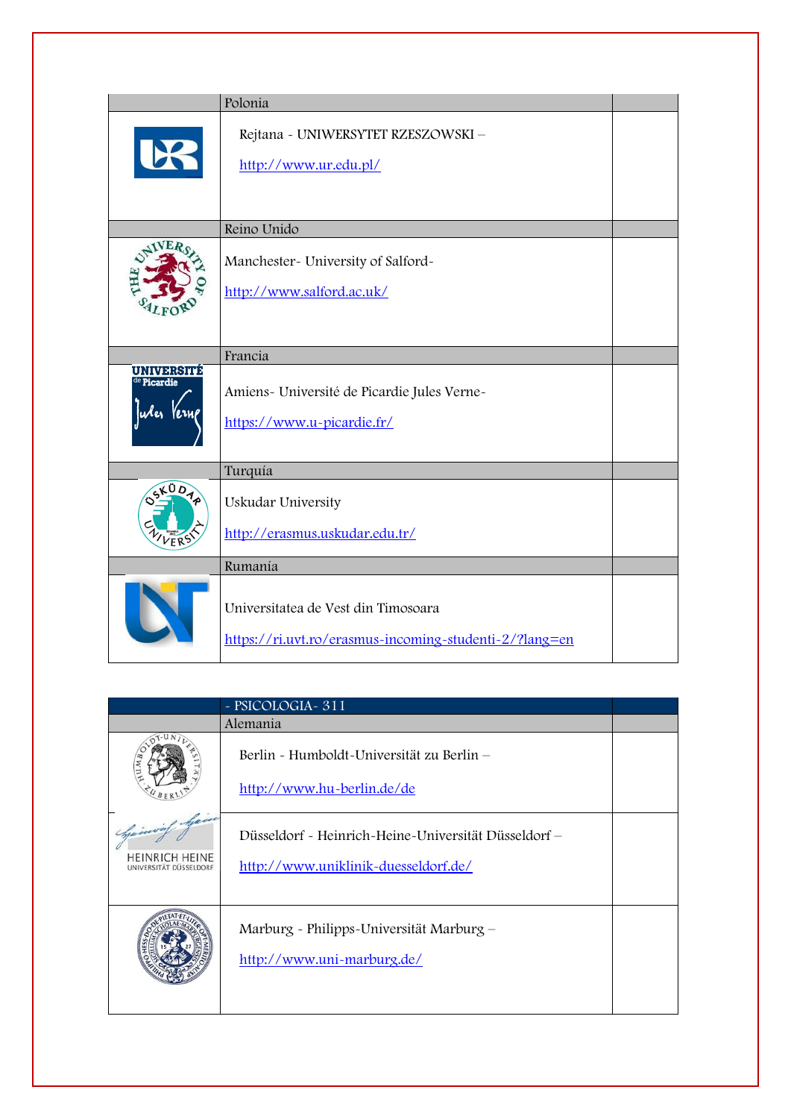|                        | Polonia                                                                                       |  |
|------------------------|-----------------------------------------------------------------------------------------------|--|
| E                      | Rejtana - UNIWERSYTET RZESZOWSKI -<br>http://www.ur.edu.pl/                                   |  |
|                        | Reino Unido                                                                                   |  |
|                        | Manchester- University of Salford-<br>http://www.salford.ac.uk/                               |  |
|                        | Francia                                                                                       |  |
| UNIVERSITE<br>Picardie | Amiens- Université de Picardie Jules Verne-<br>https://www.u-picardie.fr/                     |  |
|                        | Turquía                                                                                       |  |
|                        | Uskudar University<br>http://erasmus.uskudar.edu.tr/                                          |  |
|                        | Rumanía                                                                                       |  |
|                        | Universitatea de Vest din Timosoara<br>https://ri.uvt.ro/erasmus-incoming-studenti-2/?lang=en |  |

|                                                                  | - PSICOLOGIA - 311                                                                           |  |
|------------------------------------------------------------------|----------------------------------------------------------------------------------------------|--|
|                                                                  | Alemania                                                                                     |  |
| $\sqrt{\frac{1}{M}}$                                             | Berlin - Humboldt-Universität zu Berlin –<br>http://www.hu-berlin.de/de                      |  |
| Gasovial Ayea<br><b>HEINRICH HEINE</b><br>UNIVERSITAT DUSSELDORF | Düsseldorf - Heinrich-Heine-Universität Düsseldorf –<br>http://www.uniklinik-duesseldorf.de/ |  |
|                                                                  | Marburg - Philipps-Universität Marburg –<br>http://www.uni~marburg.de/                       |  |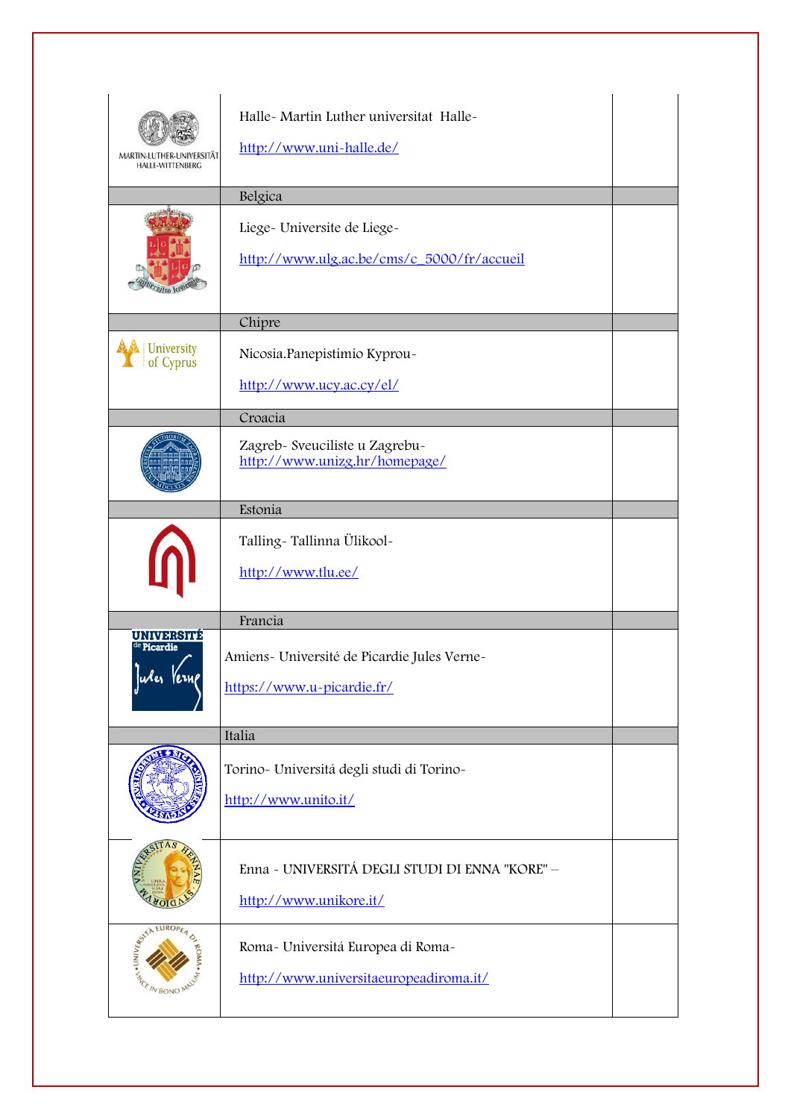| <b>HALLE-WITTENBERG</b>                    | Halle- Martin Luther universitat Halle-<br>http://www.uni~halle.de/<br>Belgica       |
|--------------------------------------------|--------------------------------------------------------------------------------------|
|                                            | Liege- Universite de Liege-<br>http://www.ulg.ac.be/cms/c_5000/fr/accueil            |
| <b>University</b><br>of Cyprus             | Chipre<br>Nicosia. Panepistimio Kyprou-<br>http://www.ucy.ac.cy/el/                  |
|                                            | Croacia<br>Zagreb- Sveuciliste u Zagrebu-<br>http://www.unizg.hr/homepage/           |
|                                            | Estonia<br>Talling-Tallinna Ülikool-<br>http://www.tlu.ee/                           |
| <b>UNIVERSITÉ</b><br><sup>e</sup> Picardie | Francia<br>Amiens- Université de Picardie Jules Verne-<br>https://www.u-picardie.fr/ |
|                                            | Italia<br>Torino- Universitá degli studi di Torino-<br>http://www.unito.it/          |
|                                            | Enna - UNIVERSITÁ DEGLI STUDI DI ENNA "KORE" -<br>http://www.unikore.it/             |
| <b>ASSISTER</b>                            | Roma- Universitá Europea di Roma-<br>http://www.universitaeuropeadiroma.it/          |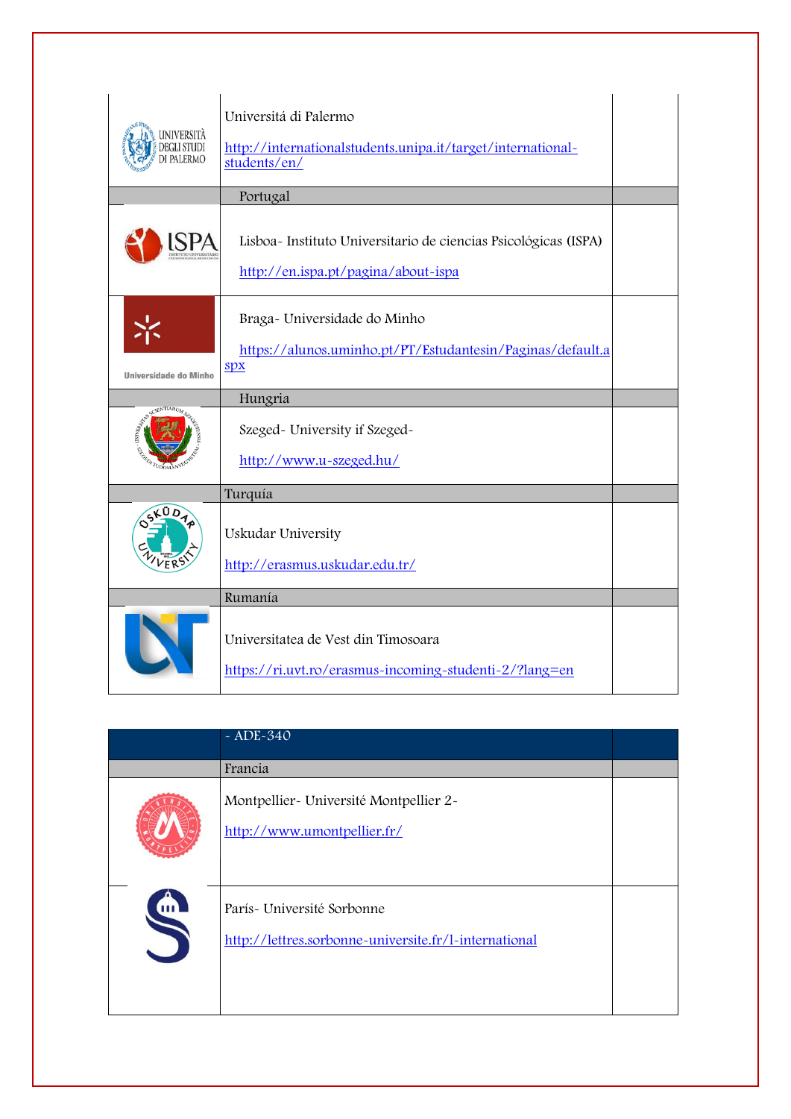| UNIVERSITÀ<br>DEGLI STUDI<br><b>DI PALERMO</b> | Universitá di Palermo<br>http://internationalstudents.unipa.it/target/international-<br>students/en/    |  |
|------------------------------------------------|---------------------------------------------------------------------------------------------------------|--|
|                                                | Portugal                                                                                                |  |
|                                                | Lisboa - Instituto Universitario de ciencias Psicológicas (ISPA)<br>http://en.ispa.pt/pagina/about-ispa |  |
| Universidade do Minho                          | Braga- Universidade do Minho<br>https://alunos.uminho.pt/PT/Estudantesin/Paginas/default.a<br>SDX       |  |
|                                                | Hungria                                                                                                 |  |
| UNIVER <sub>SIZZ</sub>                         | Szeged- University if Szeged-<br>http://www.u-szeged.hu/                                                |  |
|                                                | Turquía                                                                                                 |  |
| LÜ D                                           | Uskudar University<br>http://erasmus.uskudar.edu.tr/                                                    |  |
|                                                | Rumanía                                                                                                 |  |
|                                                | Universitatea de Vest din Timosoara<br>https://ri.uvt.ro/erasmus-incoming-studenti-2/?lang=en           |  |

|                                  | $~2$ ADE-340                                                                         |  |
|----------------------------------|--------------------------------------------------------------------------------------|--|
|                                  | Francia                                                                              |  |
|                                  | Montpellier- Université Montpellier 2-<br>http://www.umontpellier.fr/                |  |
| $\mathbf{m}$<br>$\blacktriangle$ | París - Université Sorbonne<br>http://lettres.sorbonne-universite.fr/l-international |  |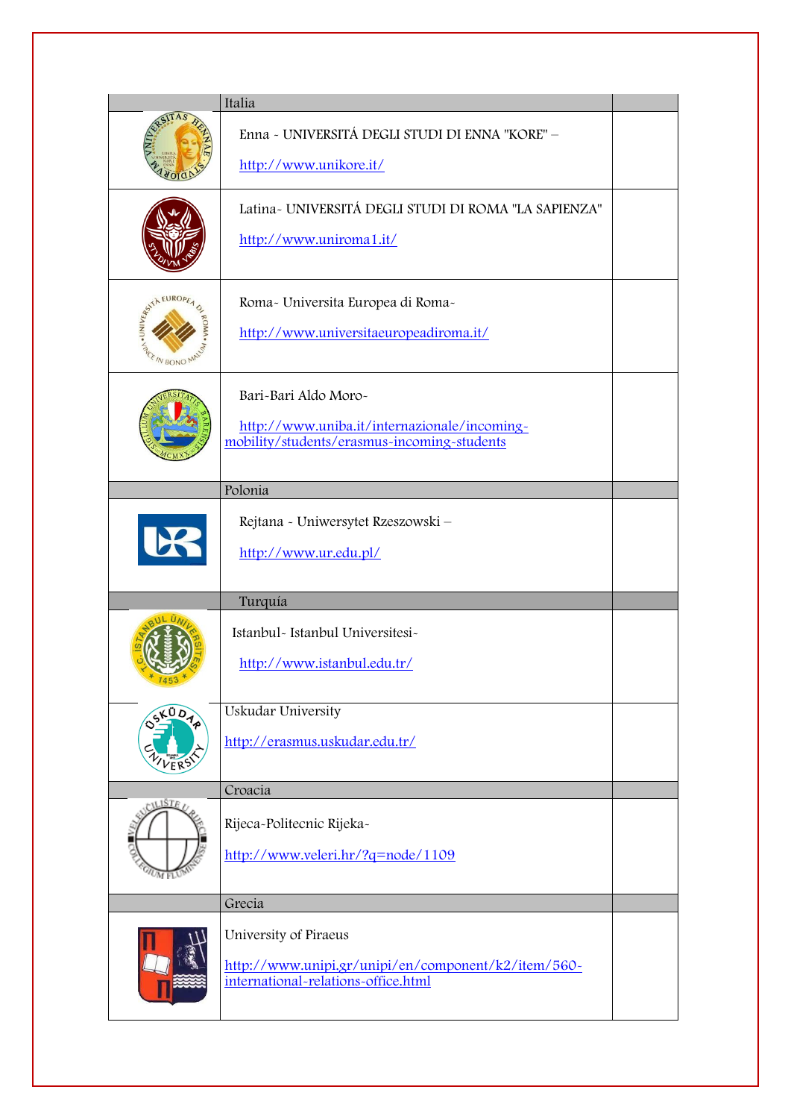|                                | Italia                                                                                                              |  |
|--------------------------------|---------------------------------------------------------------------------------------------------------------------|--|
|                                | Enna - UNIVERSITÁ DEGLI STUDI DI ENNA "KORE" -<br>http://www.unikore.it/                                            |  |
|                                | Latina- UNIVERSITÁ DEGLI STUDI DI ROMA "LA SAPIENZA"<br>http://www.uniroma1.it/                                     |  |
| . UNIVERS IN<br><b>IN BONO</b> | Roma- Universita Europea di Roma-<br>http://www.universitaeuropeadiroma.it/                                         |  |
|                                | Bari-Bari Aldo Moro-<br>http://www.uniba.it/internazionale/incoming-<br>mobility/students/erasmus-incoming-students |  |
|                                | Polonia                                                                                                             |  |
|                                | Rejtana - Uniwersytet Rzeszowski -<br>http://www.ur.edu.pl/                                                         |  |
|                                | Turquía                                                                                                             |  |
| 7453                           | Istanbul- Istanbul Universitesi-<br>http://www.istanbul.edu.tr/                                                     |  |
| 5K0D4p<br>VFR <sub>5</sub>     | <b>Uskudar University</b><br>http://erasmus.uskudar.edu.tr/                                                         |  |
| CILISTE /                      | Croacia                                                                                                             |  |
| $^{U}$ M FL                    | Rijeca-Politecnic Rijeka-<br>http://www.veleri.hr/?q=node/1109                                                      |  |
|                                | Grecia                                                                                                              |  |
|                                | University of Piraeus<br>http://www.unipi.gr/unipi/en/component/k2/item/560-<br>international-relations-office.html |  |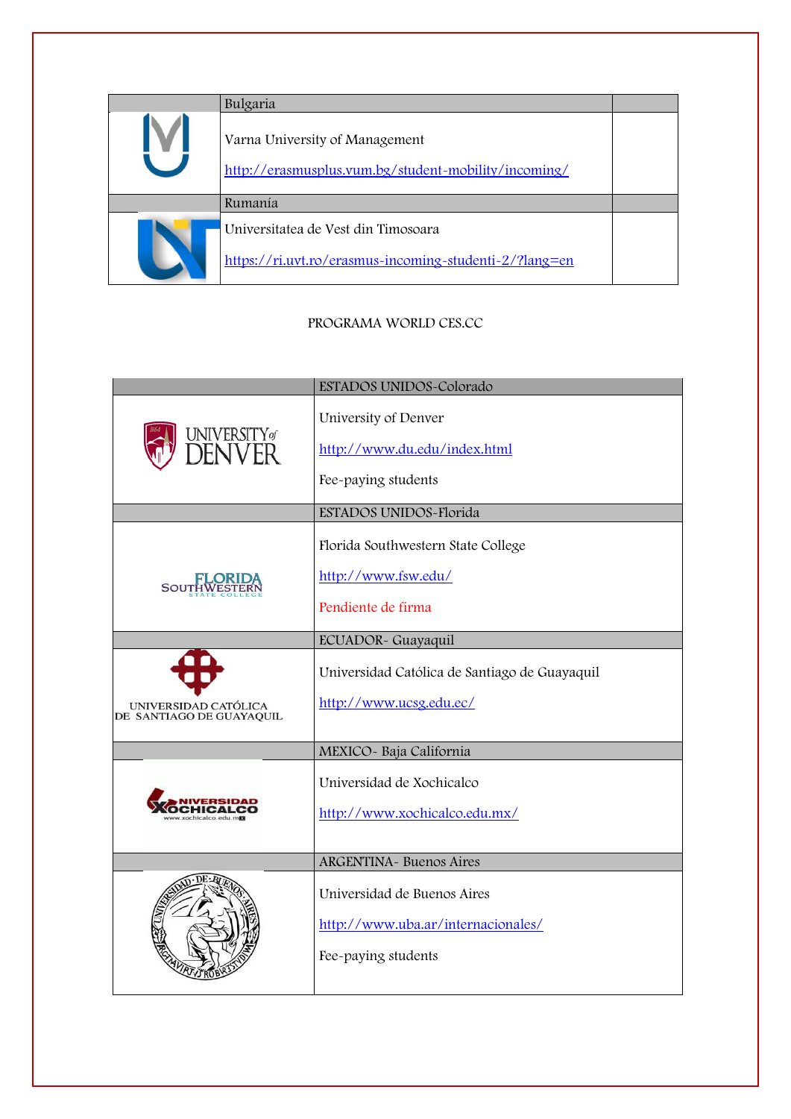| Bulgaria                                                                                      |  |
|-----------------------------------------------------------------------------------------------|--|
| Varna University of Management<br>http://erasmusplus.vum.bg/student-mobility/incoming/        |  |
| Rumanía                                                                                       |  |
| Universitatea de Vest din Timosoara<br>https://ri.uvt.ro/erasmus-incoming-studenti-2/?lang=en |  |

### PROGRAMA WORLD CES.CC

|                                                  | ESTADOS UNIDOS-Colorado                                                                  |
|--------------------------------------------------|------------------------------------------------------------------------------------------|
| jniversityø<br>DENVER                            | University of Denver<br>http://www.du.edu/index.html<br>Fee-paying students              |
|                                                  | ESTADOS UNIDOS-Florida                                                                   |
| SOUTÎ                                            | Florida Southwestern State College<br>http://www.fsw.edu/<br>Pendiente de firma          |
|                                                  | ECUADOR- Guayaquil                                                                       |
| UNIVERSIDAD CATÓLICA<br>DE SANTIAGO DE GUAYAQUIL | Universidad Católica de Santiago de Guayaquil<br>http://www.ucsg.edu.ec/                 |
|                                                  | MEXICO- Baja California                                                                  |
| v xochicalco, edu                                | Universidad de Xochicalco<br>http://www.xochicalco.edu.mx/                               |
|                                                  | <b>ARGENTINA- Buenos Aires</b>                                                           |
|                                                  | Universidad de Buenos Aires<br>http://www.uba.ar/internacionales/<br>Fee-paying students |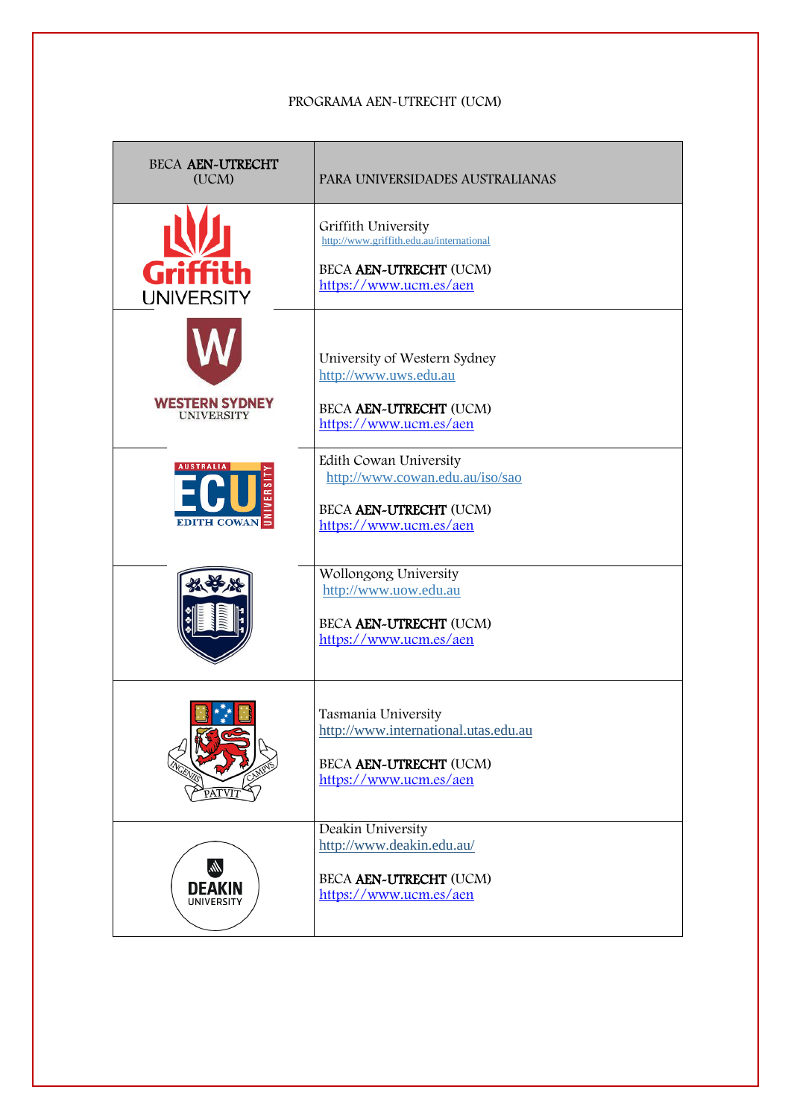#### PROGRAMA AEN-UTRECHT (UCM)

| <b>BECA AEN-UTRECHT</b><br>(UCM)           | PARA UNIVERSIDADES AUSTRALIANAS                                                                                     |
|--------------------------------------------|---------------------------------------------------------------------------------------------------------------------|
| Griffith<br><b>UNIVERSITY</b>              | Griffith University<br>http://www.griffith.edu.au/international<br>BECA AEN-UTRECHT (UCM)<br>https://www.ucm.es/aen |
| <b>WESTERN SYDNEY</b><br><b>UNIVERSITY</b> | University of Western Sydney<br>http://www.uws.edu.au<br>BECA AEN~UTRECHT (UCM)<br>https://www.ucm.es/aen           |
| <b>AUSTRALIA</b><br>EDITH COWAN            | Edith Cowan University<br>http://www.cowan.edu.au/iso/sao<br>BECA AEN~UTRECHT (UCM)<br>https://www.ucm.es/aen       |
|                                            | Wollongong University<br>http://www.uow.edu.au<br>BECA AEN-UTRECHT (UCM)<br>https://www.ucm.es/aen                  |
| PATVIT                                     | Tasmania University<br>http://www.international.utas.edu.au<br>BECA AEN~UTRECHT (UCM)<br>https://www.ucm.es/aen     |
| M.<br><b>DEAKIN</b><br><b>UNIVERSITY</b>   | Deakin University<br>http://www.deakin.edu.au/<br>BECA AEN~UTRECHT (UCM)<br>https://www.ucm.es/aen                  |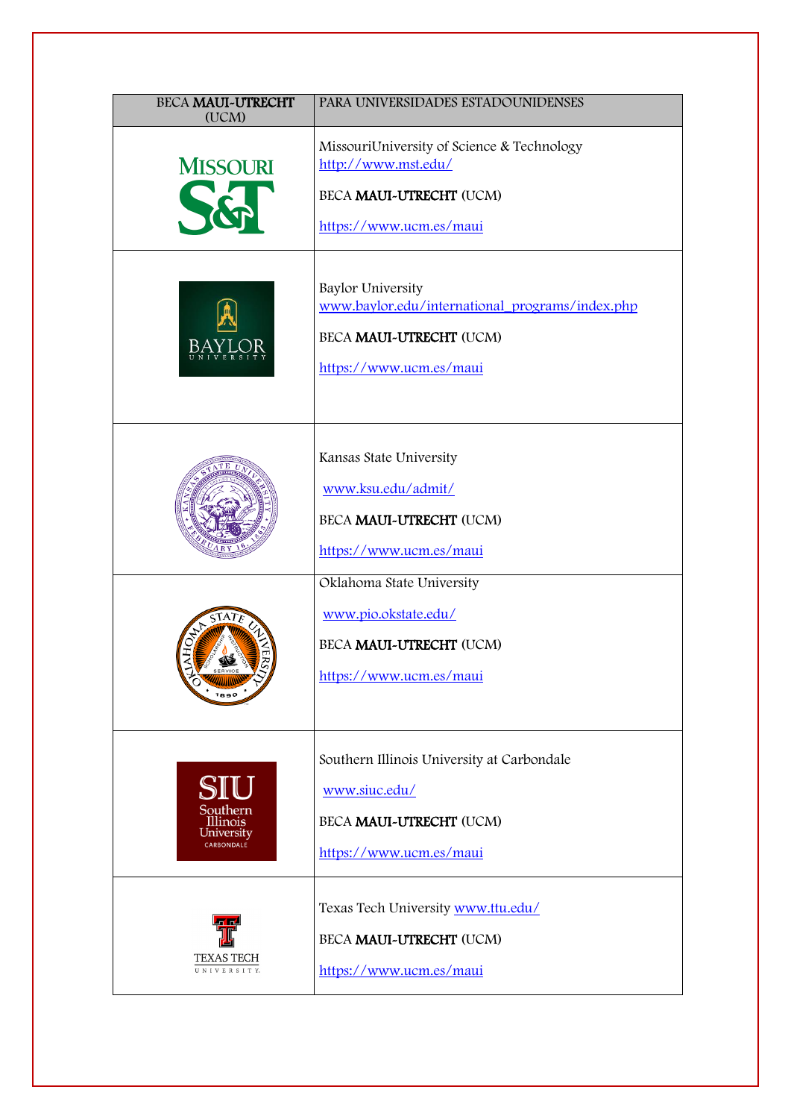| <b>BECA MAUI-UTRECHT</b><br>(UCM)                       | PARA UNIVERSIDADES ESTADOUNIDENSES                                                                                                |
|---------------------------------------------------------|-----------------------------------------------------------------------------------------------------------------------------------|
| <b>MISSOURI</b>                                         | MissouriUniversity of Science & Technology<br>http://www.mst.edu/<br>BECA MAUI-UTRECHT (UCM)<br>https://www.ucm.es/maui           |
|                                                         | <b>Baylor University</b><br>www.baylor.edu/international_programs/index.php<br>BECA MAUI-UTRECHT (UCM)<br>https://www.ucm.es/maui |
|                                                         | Kansas State University<br>www.ksu.edu/admit/<br>BECA MAUI-UTRECHT (UCM)<br>https://www.ucm.es/maui                               |
| $\hat{\circ}$<br>1890                                   | Oklahoma State University<br>www.pio.okstate.edu/<br>BECA MAUI-UTRECHT (UCM)<br>https://www.ucm.es/maui                           |
| SIU<br>Southern<br>Illinois<br>University<br>CARBONDALE | Southern Illinois University at Carbondale<br>www.siuc.edu/<br>BECA MAUI-UTRECHT (UCM)<br>https://www.ucm.es/maui                 |
| TEXAS TECH<br>UNIVERSITY.                               | Texas Tech University www.ttu.edu/<br>BECA MAUI-UTRECHT (UCM)<br>https://www.ucm.es/maui                                          |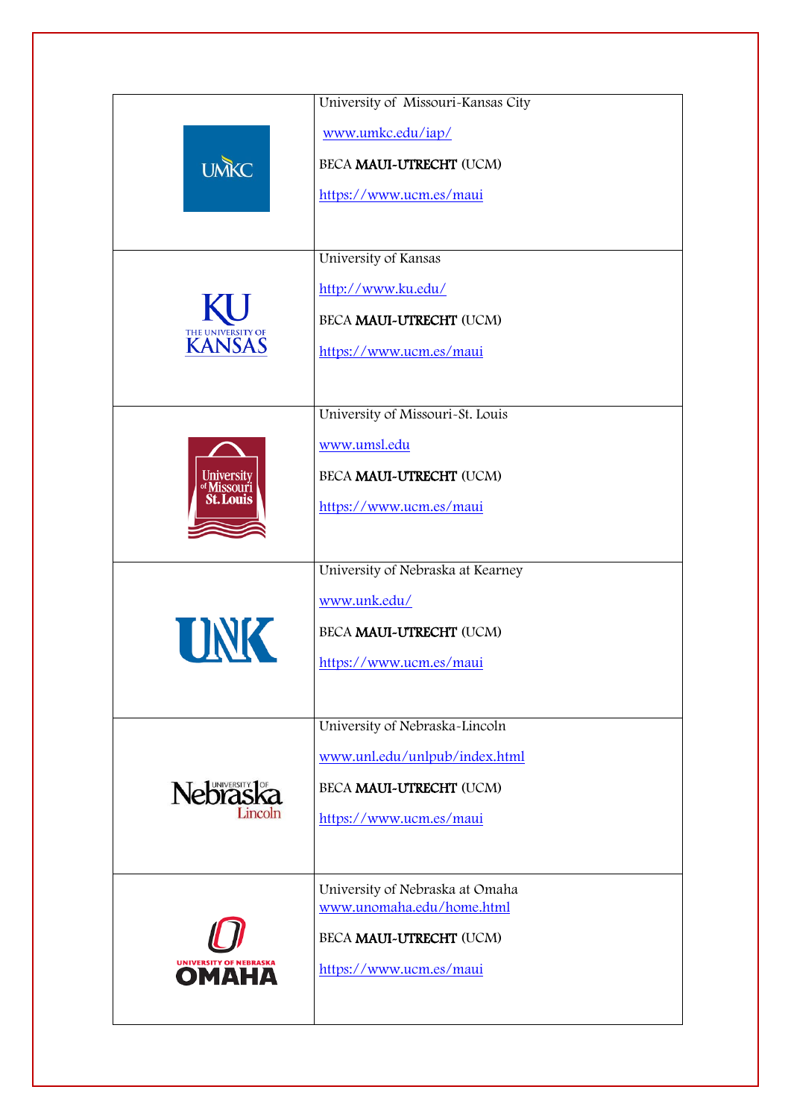|                                               | University of Missouri-Kansas City                           |
|-----------------------------------------------|--------------------------------------------------------------|
| <b>UMKC</b>                                   | www.umkc.edu/iap/                                            |
|                                               | BECA MAUI-UTRECHT (UCM)                                      |
|                                               | https://www.ucm.es/maui                                      |
|                                               |                                                              |
|                                               | University of Kansas                                         |
|                                               |                                                              |
|                                               | http://www.ku.edu/                                           |
|                                               | BECA MAUI-UTRECHT (UCM)                                      |
| THE UNIVERSITY OF <b>KANSAS</b>               | https://www.ucm.es/maui                                      |
|                                               |                                                              |
|                                               | University of Missouri-St. Louis                             |
|                                               | www.umsl.edu                                                 |
|                                               |                                                              |
| University<br>of Missouri<br><b>St. Louis</b> | BECA MAUI-UTRECHT (UCM)                                      |
|                                               | https://www.ucm.es/maui                                      |
|                                               |                                                              |
|                                               | University of Nebraska at Kearney                            |
|                                               | www.unk.edu/                                                 |
| UNK                                           | BECA MAUI-UTRECHT (UCM)                                      |
|                                               | https://www.ucm.es/maui                                      |
|                                               |                                                              |
|                                               |                                                              |
|                                               | University of Nebraska-Lincoln                               |
|                                               | www.unl.edu/unlpub/index.html                                |
| Nebrask <sub>a</sub>                          | BECA MAUI-UTRECHT (UCM)                                      |
|                                               | https://www.ucm.es/maui                                      |
|                                               |                                                              |
|                                               |                                                              |
|                                               | University of Nebraska at Omaha<br>www.unomaha.edu/home.html |
|                                               | BECA MAUI-UTRECHT (UCM)                                      |
|                                               |                                                              |
| UNIVERSITY OF NEBRASKA                        | https://www.ucm.es/maui                                      |
|                                               |                                                              |
|                                               |                                                              |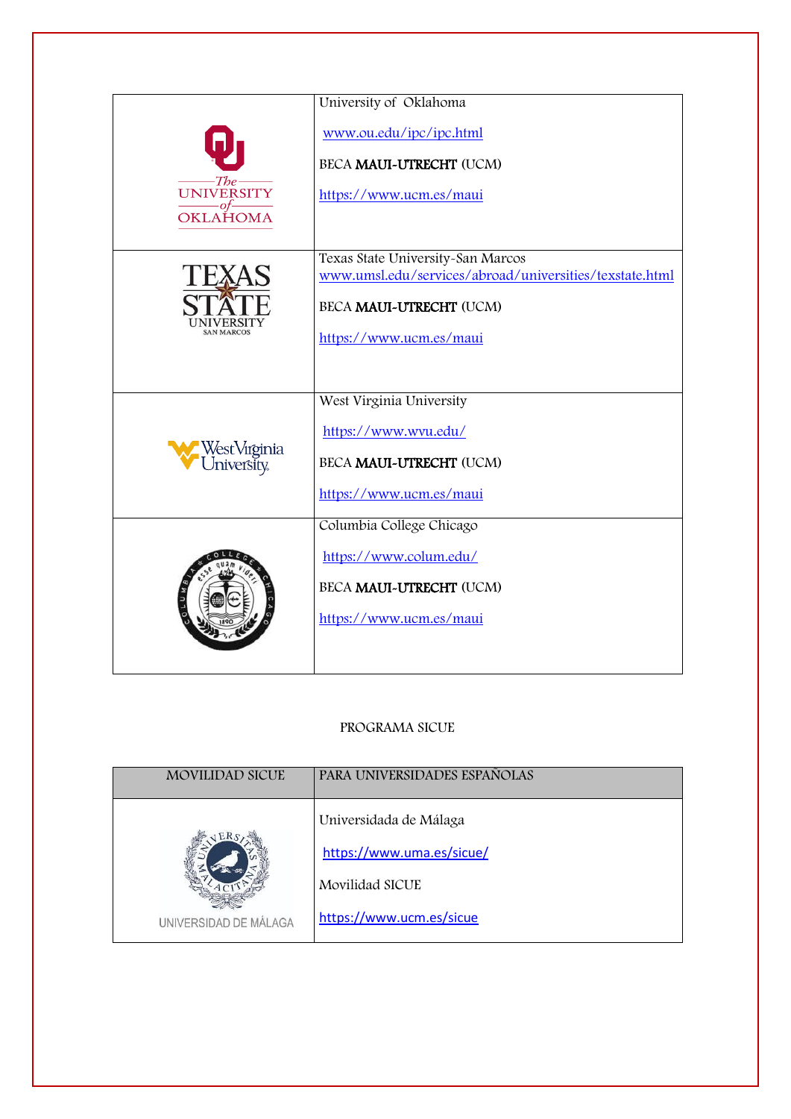|                            | University of Oklahoma                                                                       |
|----------------------------|----------------------------------------------------------------------------------------------|
|                            | www.ou.edu/ipc/ipc.html                                                                      |
|                            | BECA MAUI-UTRECHT (UCM)                                                                      |
| The<br><b>UNIVERSITY</b>   | https://www.ucm.es/maui                                                                      |
| OKLAHOMA                   |                                                                                              |
|                            |                                                                                              |
|                            | Texas State University-San Marcos<br>www.umsl.edu/services/abroad/universities/texstate.html |
|                            |                                                                                              |
|                            | BECA MAUI-UTRECHT (UCM)                                                                      |
| <b>SAN MARCOS</b>          | https://www.ucm.es/maui                                                                      |
|                            |                                                                                              |
|                            | West Virginia University                                                                     |
| WestVirginia<br>University |                                                                                              |
|                            | https://www.wvu.edu/                                                                         |
|                            | BECA MAUI-UTRECHT (UCM)                                                                      |
|                            | https://www.ucm.es/maui                                                                      |
|                            | Columbia College Chicago                                                                     |
|                            | https://www.colum.edu/                                                                       |
|                            |                                                                                              |
|                            | BECA MAUI~UTRECHT (UCM)                                                                      |
|                            | https://www.ucm.es/maui                                                                      |
|                            |                                                                                              |
|                            |                                                                                              |

### PROGRAMA SICUE

| <b>MOVILIDAD SICUE</b> | PARA UNIVERSIDADES ESPAÑOLAS                                                                       |
|------------------------|----------------------------------------------------------------------------------------------------|
| UNIVERSIDAD DE MÁLAGA  | Universidada de Málaga<br>https://www.uma.es/sicue/<br>Movilidad SICUE<br>https://www.ucm.es/sicue |